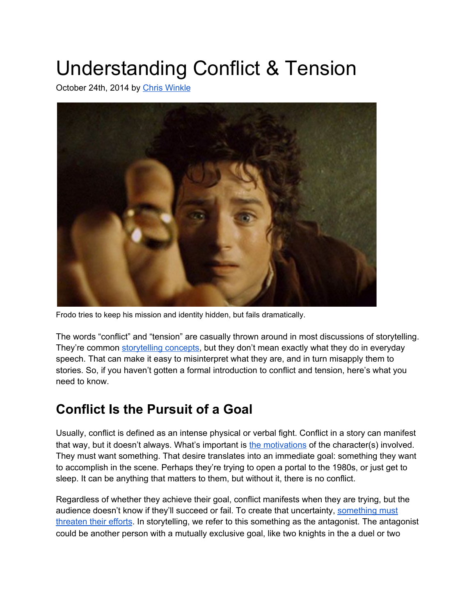# Understanding Conflict & Tension

October 24th, 2014 by [C](https://mythcreants.com/blog/author/chris/)hris [Winkle](https://mythcreants.com/blog/author/chris/)



Frodo tries to keep his mission and identity hidden, but fails dramatically.

The words "conflict" and "tension" are casually thrown around in most discussions of storytelling. They're common [storytelling](https://mythcreants.com/blog/is-it-plot/) concepts, but they don't mean exactly what they do in everyday speech. That can make it easy to misinterpret what they are, and in turn misapply them to stories. So, if you haven't gotten a formal introduction to conflict and tension, here's what you need to know.

#### **Conflict Is the Pursuit of a Goal**

Usually, conflict is defined as an intense physical or verbal fight. Conflict in a story can manifest that way, but it doesn't always. What's important i[s](https://mythcreants.com/blog/the-six-traits-of-strong-characters/#driven) the [motivations](https://mythcreants.com/blog/the-six-traits-of-strong-characters/#driven) of the character(s) involved. They must want something. That desire translates into an immediate goal: something they want to accomplish in the scene. Perhaps they're trying to open a portal to the 1980s, or just get to sleep. It can be anything that matters to them, but without it, there is no conflict.

Regardless of whether they achieve their goal, conflict manifests when they are trying, but the audience doesn't know if they'll succeed or fail. To create that uncertainty[,](https://mythcreants.com/blog/should-you-use-a-monster-or-a-villain-in-your-story/) [something](https://mythcreants.com/blog/should-you-use-a-monster-or-a-villain-in-your-story/) must [threaten](https://mythcreants.com/blog/should-you-use-a-monster-or-a-villain-in-your-story/) their efforts. In storytelling, we refer to this something as the antagonist. The antagonist could be another person with a mutually exclusive goal, like two knights in the a duel or two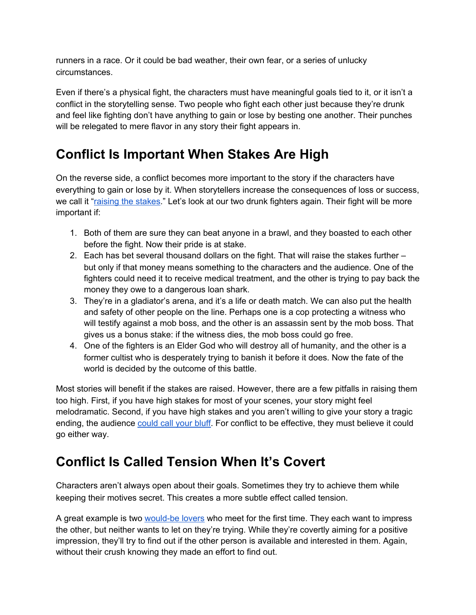runners in a race. Or it could be bad weather, their own fear, or a series of unlucky circumstances.

Even if there's a physical fight, the characters must have meaningful goals tied to it, or it isn't a conflict in the storytelling sense. Two people who fight each other just because they're drunk and feel like fighting don't have anything to gain or lose by besting one another. Their punches will be relegated to mere flavor in any story their fight appears in.

#### **Conflict Is Important When Stakes Are High**

On the reverse side, a conflict becomes more important to the story if the characters have everything to gain or lose by it. When storytellers increase the consequences of loss or success, we call it "[raising](https://mythcreants.com/blog/seven-ways-to-make-your-story-more-powerful/#stakes) the stakes." Let's look at our two drunk fighters again. Their fight will be more important if:

- 1. Both of them are sure they can beat anyone in a brawl, and they boasted to each other before the fight. Now their pride is at stake.
- 2. Each has bet several thousand dollars on the fight. That will raise the stakes further but only if that money means something to the characters and the audience. One of the fighters could need it to receive medical treatment, and the other is trying to pay back the money they owe to a dangerous loan shark.
- 3. They're in a gladiator's arena, and it's a life or death match. We can also put the health and safety of other people on the line. Perhaps one is a cop protecting a witness who will testify against a mob boss, and the other is an assassin sent by the mob boss. That gives us a bonus stake: if the witness dies, the mob boss could go free.
- 4. One of the fighters is an Elder God who will destroy all of humanity, and the other is a former cultist who is desperately trying to banish it before it does. Now the fate of the world is decided by the outcome of this battle.

Most stories will benefit if the stakes are raised. However, there are a few pitfalls in raising them too high. First, if you have high stakes for most of your scenes, your story might feel melodramatic. Second, if you have high stakes and you aren't willing to give your story a tragic ending, the audienc[e](https://mythcreants.com/blog/how-team-rocket-villains-ruin-stories/) [could](https://mythcreants.com/blog/how-team-rocket-villains-ruin-stories/) call your bluff. For conflict to be effective, they must believe it could go either way.

#### **Conflict Is Called Tension When It's Covert**

Characters aren't always open about their goals. Sometimes they try to achieve them while keeping their motives secret. This creates a more subtle effect called tension.

A great example is tw[o](https://mythcreants.com/blog/how-to-get-fans-to-slash-your-characters/) [would-be](https://mythcreants.com/blog/how-to-get-fans-to-slash-your-characters/) lovers who meet for the first time. They each want to impress the other, but neither wants to let on they're trying. While they're covertly aiming for a positive impression, they'll try to find out if the other person is available and interested in them. Again, without their crush knowing they made an effort to find out.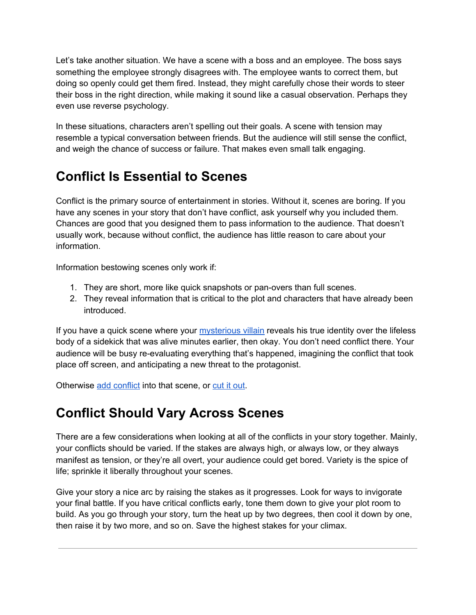Let's take another situation. We have a scene with a boss and an employee. The boss says something the employee strongly disagrees with. The employee wants to correct them, but doing so openly could get them fired. Instead, they might carefully chose their words to steer their boss in the right direction, while making it sound like a casual observation. Perhaps they even use reverse psychology.

In these situations, characters aren't spelling out their goals. A scene with tension may resemble a typical conversation between friends. But the audience will still sense the conflict, and weigh the chance of success or failure. That makes even small talk engaging.

## **Conflict Is Essential to Scenes**

Conflict is the primary source of entertainment in stories. Without it, scenes are boring. If you have any scenes in your story that don't have conflict, ask yourself why you included them. Chances are good that you designed them to pass information to the audience. That doesn't usually work, because without conflict, the audience has little reason to care about your information.

Information bestowing scenes only work if:

- 1. They are short, more like quick snapshots or pan-overs than full scenes.
- 2. They reveal information that is critical to the plot and characters that have already been introduced.

If you have a quick scene where your [mysterious](https://mythcreants.com/blog/how-to-make-your-dastardly-villain-more-memorable/) villain reveals his true identity over the lifeless body of a sidekick that was alive minutes earlier, then okay. You don't need conflict there. Your audience will be busy re-evaluating everything that's happened, imagining the conflict that took place off screen, and anticipating a new threat to the protagonist.

Otherwise add [conflict](https://mythcreants.com/blog/five-ways-to-add-conflict-to-your-story/) into that scene, or [c](https://mythcreants.com/blog/cut-that-scene/)ut it [out](https://mythcreants.com/blog/cut-that-scene/).

### **Conflict Should Vary Across Scenes**

There are a few considerations when looking at all of the conflicts in your story together. Mainly, your conflicts should be varied. If the stakes are always high, or always low, or they always manifest as tension, or they're all overt, your audience could get bored. Variety is the spice of life; sprinkle it liberally throughout your scenes.

Give your story a nice arc by raising the stakes as it progresses. Look for ways to invigorate your final battle. If you have critical conflicts early, tone them down to give your plot room to build. As you go through your story, turn the heat up by two degrees, then cool it down by one, then raise it by two more, and so on. Save the highest stakes for your climax.